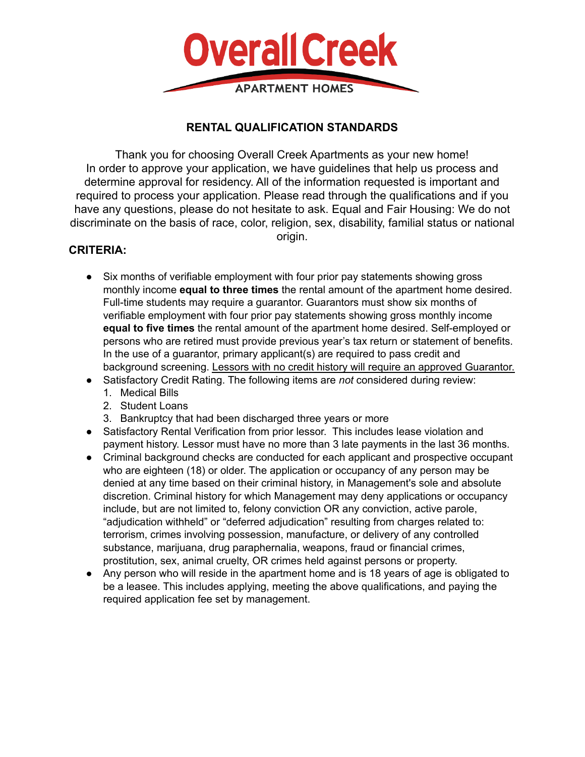

## **RENTAL QUALIFICATION STANDARDS**

Thank you for choosing Overall Creek Apartments as your new home! In order to approve your application, we have guidelines that help us process and determine approval for residency. All of the information requested is important and required to process your application. Please read through the qualifications and if you have any questions, please do not hesitate to ask. Equal and Fair Housing: We do not discriminate on the basis of race, color, religion, sex, disability, familial status or national

origin.

## **CRITERIA:**

- Six months of verifiable employment with four prior pay statements showing gross monthly income **equal to three times** the rental amount of the apartment home desired. Full-time students may require a guarantor. Guarantors must show six months of verifiable employment with four prior pay statements showing gross monthly income **equal to five times** the rental amount of the apartment home desired. Self-employed or persons who are retired must provide previous year's tax return or statement of benefits. In the use of a guarantor, primary applicant(s) are required to pass credit and background screening. Lessors with no credit history will require an approved Guarantor.
- Satisfactory Credit Rating. The following items are *not* considered during review:
	- 1. Medical Bills
	- 2. Student Loans
	- 3. Bankruptcy that had been discharged three years or more
- Satisfactory Rental Verification from prior lessor. This includes lease violation and payment history. Lessor must have no more than 3 late payments in the last 36 months.
- Criminal background checks are conducted for each applicant and prospective occupant who are eighteen (18) or older. The application or occupancy of any person may be denied at any time based on their criminal history, in Management's sole and absolute discretion. Criminal history for which Management may deny applications or occupancy include, but are not limited to, felony conviction OR any conviction, active parole, "adjudication withheld" or "deferred adjudication" resulting from charges related to: terrorism, crimes involving possession, manufacture, or delivery of any controlled substance, marijuana, drug paraphernalia, weapons, fraud or financial crimes, prostitution, sex, animal cruelty, OR crimes held against persons or property.
- Any person who will reside in the apartment home and is 18 years of age is obligated to be a leasee. This includes applying, meeting the above qualifications, and paying the required application fee set by management.